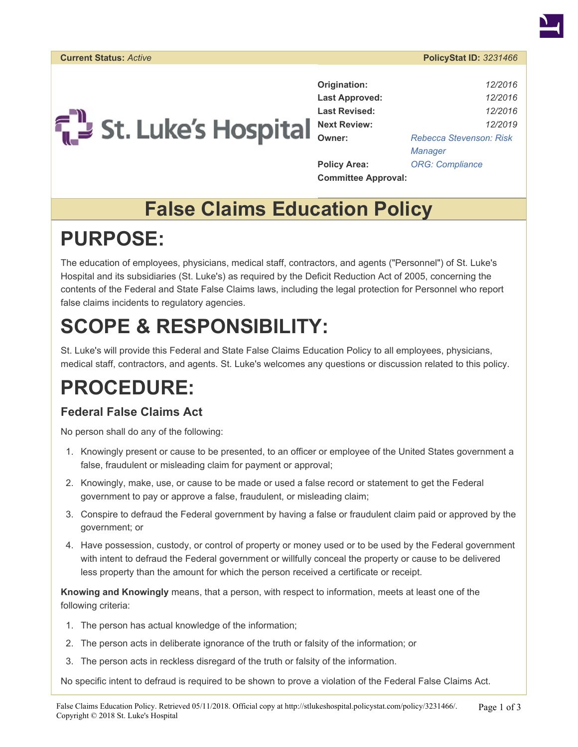



**Origination:** *12/2016* **Last Approved:** *12/2016* **Last Revised:** *12/2016* **Owner:** *[Rebecca Stevenson: Risk](https://stlukeshospital.policystat.com/policy_search/author/?search_query=&terms=829477) [Manager](https://stlukeshospital.policystat.com/policy_search/author/?search_query=&terms=829477)* **Policy Area:** *[ORG: Compliance](https://stlukeshospital.policystat.com/policy_search/category/?search_query=&terms=41969)* **Committee Approval:**

### **False Claims Education Policy**

## **PURPOSE:**

The education of employees, physicians, medical staff, contractors, and agents ("Personnel") of St. Luke's Hospital and its subsidiaries (St. Luke's) as required by the Deficit Reduction Act of 2005, concerning the contents of the Federal and State False Claims laws, including the legal protection for Personnel who report false claims incidents to regulatory agencies.

# **SCOPE & RESPONSIBILITY:**

St. Luke's will provide this Federal and State False Claims Education Policy to all employees, physicians, medical staff, contractors, and agents. St. Luke's welcomes any questions or discussion related to this policy.

### **PROCEDURE:**

#### **Federal False Claims Act**

No person shall do any of the following:

- 1. Knowingly present or cause to be presented, to an officer or employee of the United States government a false, fraudulent or misleading claim for payment or approval;
- 2. Knowingly, make, use, or cause to be made or used a false record or statement to get the Federal government to pay or approve a false, fraudulent, or misleading claim;
- 3. Conspire to defraud the Federal government by having a false or fraudulent claim paid or approved by the government; or
- 4. Have possession, custody, or control of property or money used or to be used by the Federal government with intent to defraud the Federal government or willfully conceal the property or cause to be delivered less property than the amount for which the person received a certificate or receipt.

**Knowing and Knowingly** means, that a person, with respect to information, meets at least one of the following criteria:

- 1. The person has actual knowledge of the information;
- 2. The person acts in deliberate ignorance of the truth or falsity of the information; or
- 3. The person acts in reckless disregard of the truth or falsity of the information.

No specific intent to defraud is required to be shown to prove a violation of the Federal False Claims Act.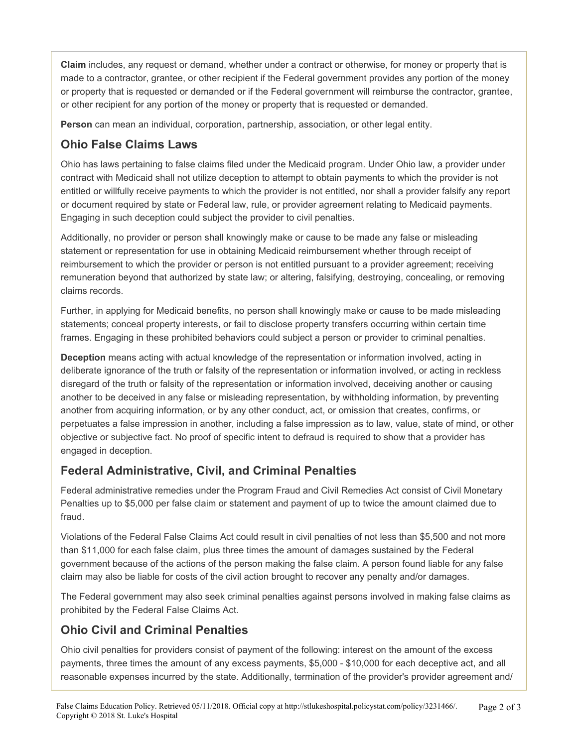**Claim** includes, any request or demand, whether under a contract or otherwise, for money or property that is made to a contractor, grantee, or other recipient if the Federal government provides any portion of the money or property that is requested or demanded or if the Federal government will reimburse the contractor, grantee, or other recipient for any portion of the money or property that is requested or demanded.

**Person** can mean an individual, corporation, partnership, association, or other legal entity.

#### **Ohio False Claims Laws**

Ohio has laws pertaining to false claims filed under the Medicaid program. Under Ohio law, a provider under contract with Medicaid shall not utilize deception to attempt to obtain payments to which the provider is not entitled or willfully receive payments to which the provider is not entitled, nor shall a provider falsify any report or document required by state or Federal law, rule, or provider agreement relating to Medicaid payments. Engaging in such deception could subject the provider to civil penalties.

Additionally, no provider or person shall knowingly make or cause to be made any false or misleading statement or representation for use in obtaining Medicaid reimbursement whether through receipt of reimbursement to which the provider or person is not entitled pursuant to a provider agreement; receiving remuneration beyond that authorized by state law; or altering, falsifying, destroying, concealing, or removing claims records.

Further, in applying for Medicaid benefits, no person shall knowingly make or cause to be made misleading statements; conceal property interests, or fail to disclose property transfers occurring within certain time frames. Engaging in these prohibited behaviors could subject a person or provider to criminal penalties.

**Deception** means acting with actual knowledge of the representation or information involved, acting in deliberate ignorance of the truth or falsity of the representation or information involved, or acting in reckless disregard of the truth or falsity of the representation or information involved, deceiving another or causing another to be deceived in any false or misleading representation, by withholding information, by preventing another from acquiring information, or by any other conduct, act, or omission that creates, confirms, or perpetuates a false impression in another, including a false impression as to law, value, state of mind, or other objective or subjective fact. No proof of specific intent to defraud is required to show that a provider has engaged in deception.

#### **Federal Administrative, Civil, and Criminal Penalties**

Federal administrative remedies under the Program Fraud and Civil Remedies Act consist of Civil Monetary Penalties up to \$5,000 per false claim or statement and payment of up to twice the amount claimed due to fraud.

Violations of the Federal False Claims Act could result in civil penalties of not less than \$5,500 and not more than \$11,000 for each false claim, plus three times the amount of damages sustained by the Federal government because of the actions of the person making the false claim. A person found liable for any false claim may also be liable for costs of the civil action brought to recover any penalty and/or damages.

The Federal government may also seek criminal penalties against persons involved in making false claims as prohibited by the Federal False Claims Act.

#### **Ohio Civil and Criminal Penalties**

Ohio civil penalties for providers consist of payment of the following: interest on the amount of the excess payments, three times the amount of any excess payments, \$5,000 - \$10,000 for each deceptive act, and all reasonable expenses incurred by the state. Additionally, termination of the provider's provider agreement and/